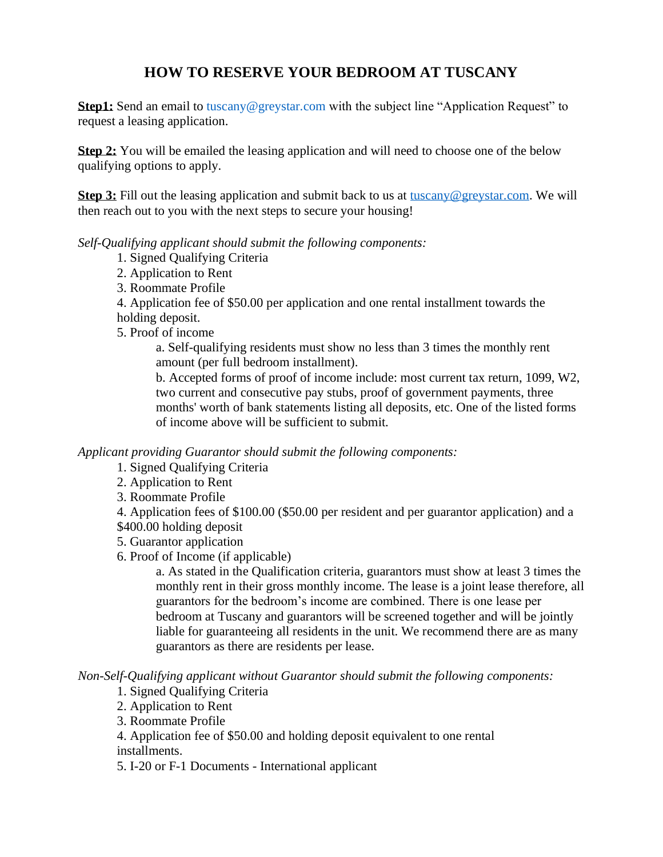## **HOW TO RESERVE YOUR BEDROOM AT TUSCANY**

**Step1:** Send an email to [tuscany@greystar.com](mailto:tuscany@greystar.com) with the subject line "Application Request" to request a leasing application.

**Step 2:** You will be emailed the leasing application and will need to choose one of the below qualifying options to apply.

**Step 3:** Fill out the leasing application and submit back to us at [tuscany@greystar.com.](mailto:tuscany@greystar.com) We will then reach out to you with the next steps to secure your housing!

*Self-Qualifying applicant should submit the following components:* 

- 1. Signed Qualifying Criteria
- 2. Application to Rent
- 3. Roommate Profile

4. Application fee of \$50.00 per application and one rental installment towards the holding deposit.

5. Proof of income

a. Self-qualifying residents must show no less than 3 times the monthly rent amount (per full bedroom installment).

b. Accepted forms of proof of income include: most current tax return, 1099, W2, two current and consecutive pay stubs, proof of government payments, three months' worth of bank statements listing all deposits, etc. One of the listed forms of income above will be sufficient to submit.

*Applicant providing Guarantor should submit the following components:* 

- 1. Signed Qualifying Criteria
- 2. Application to Rent
- 3. Roommate Profile
- 4. Application fees of \$100.00 (\$50.00 per resident and per guarantor application) and a \$400.00 holding deposit
- 5. Guarantor application

6. Proof of Income (if applicable)

a. As stated in the Qualification criteria, guarantors must show at least 3 times the monthly rent in their gross monthly income. The lease is a joint lease therefore, all guarantors for the bedroom's income are combined. There is one lease per bedroom at Tuscany and guarantors will be screened together and will be jointly liable for guaranteeing all residents in the unit. We recommend there are as many guarantors as there are residents per lease.

*Non-Self-Qualifying applicant without Guarantor should submit the following components:* 

- 1. Signed Qualifying Criteria
- 2. Application to Rent
- 3. Roommate Profile

4. Application fee of \$50.00 and holding deposit equivalent to one rental installments.

5. I-20 or F-1 Documents - International applicant